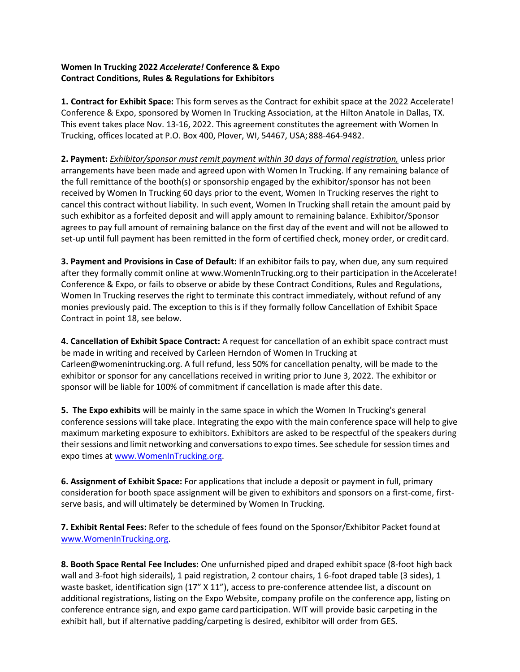## **Women In Trucking 2022** *Accelerate!* **Conference & Expo Contract Conditions, Rules & Regulations for Exhibitors**

**1. Contract for Exhibit Space:** This form serves as the Contract for exhibit space at the 2022 Accelerate! Conference & Expo, sponsored by Women In Trucking Association, at the Hilton Anatole in Dallas, TX. This event takes place Nov. 13-16, 2022. This agreement constitutes the agreement with Women In Trucking, offices located at P.O. Box 400, Plover, WI, 54467, USA; 888-464-9482.

**2. Payment:** *Exhibitor/sponsor must remit payment within 30 days of formal registration,* unless prior arrangements have been made and agreed upon with Women In Trucking. If any remaining balance of the full remittance of the booth(s) or sponsorship engaged by the exhibitor/sponsor has not been received by Women In Trucking 60 days prior to the event, Women In Trucking reserves the right to cancel this contract without liability. In such event, Women In Trucking shall retain the amount paid by such exhibitor as a forfeited deposit and will apply amount to remaining balance. Exhibitor/Sponsor agrees to pay full amount of remaining balance on the first day of the event and will not be allowed to set-up until full payment has been remitted in the form of certified check, money order, or credit card.

**3. Payment and Provisions in Case of Default:** If an exhibitor fails to pay, when due, any sum required after they formally commit online a[t www.WomenInTrucking.org t](http://www.womenintrucking.org/)o their participation in the Accelerate! Conference & Expo, or fails to observe or abide by these Contract Conditions, Rules and Regulations, Women In Trucking reserves the right to terminate this contract immediately, without refund of any monies previously paid. The exception to this is if they formally follow Cancellation of Exhibit Space Contract in point 18, see below.

**4. Cancellation of Exhibit Space Contract:** A request for cancellation of an exhibit space contract must be made in writing and received by Carleen Herndon of Women In Trucking at [Carleen@womenintrucking.org. A](mailto:Carleen@womenintrucking.org) full refund, less 50% for cancellation penalty, will be made to the exhibitor or sponsor for any cancellations received in writing prior to June 3, 2022. The exhibitor or sponsor will be liable for 100% of commitment if cancellation is made after this date.

**5. The Expo exhibits** will be mainly in the same space in which the Women In Trucking's general conference sessions will take place. Integrating the expo with the main conference space will help to give maximum marketing exposure to exhibitors. Exhibitors are asked to be respectful of the speakers during their sessions and limit networking and conversations to expo times. See schedule for session times and expo times at [www.WomenInTrucking.org.](http://www.womenintrucking.org/)

**6. Assignment of Exhibit Space:** For applications that include a deposit or payment in full, primary consideration for booth space assignment will be given to exhibitors and sponsors on a first-come, firstserve basis, and will ultimately be determined by Women In Trucking.

**7. Exhibit Rental Fees:** Refer to the schedule of fees found on the Sponsor/Exhibitor Packet foundat [www.WomenInTrucking.org.](http://www.womenintrucking.org/)

**8. Booth Space Rental Fee Includes:** One unfurnished piped and draped exhibit space (8-foot high back wall and 3-foot high siderails), 1 paid registration, 2 contour chairs, 1 6-foot draped table (3 sides), 1 waste basket, identification sign (17" X 11"), access to pre-conference attendee list, a discount on additional registrations, listing on the Expo Website, company profile on the conference app, listing on conference entrance sign, and expo game card participation. WIT will provide basic carpeting in the exhibit hall, but if alternative padding/carpeting is desired, exhibitor will order from GES.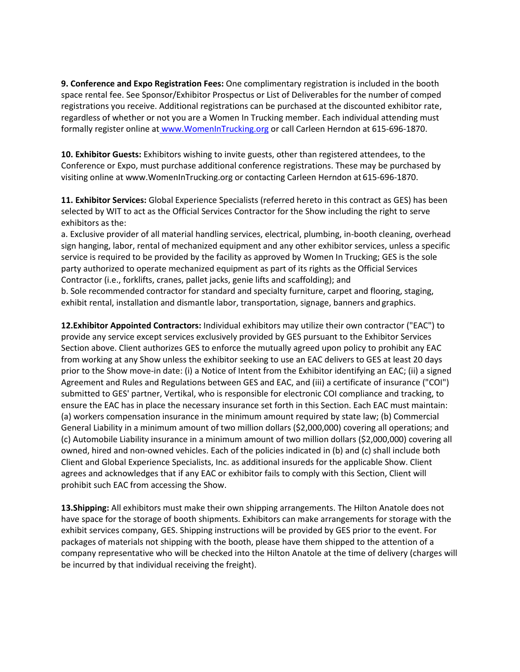**9. Conference and Expo Registration Fees:** One complimentary registration is included in the booth space rental fee. See Sponsor/Exhibitor Prospectus or List of Deliverables for the number of comped registrations you receive. Additional registrations can be purchased at the discounted exhibitor rate, regardless of whether or not you are a Women In Trucking member. Each individual attending must formally register online at [www.WomenInTrucking.org](http://www.womenintrucking.org/) or call Carleen Herndon at 615-696-1870.

**10. Exhibitor Guests:** Exhibitors wishing to invite guests, other than registered attendees, to the Conference or Expo, must purchase additional conference registrations. These may be purchased by visiting online at [www.WomenInTrucking.org o](http://www.womenintrucking.org/)r contacting Carleen Herndon at 615-696-1870.

**11. Exhibitor Services:** Global Experience Specialists (referred hereto in this contract as GES) has been selected by WIT to act as the Official Services Contractor for the Show including the right to serve exhibitors as the:

a. Exclusive provider of all material handling services, electrical, plumbing, in-booth cleaning, overhead sign hanging, labor, rental of mechanized equipment and any other exhibitor services, unless a specific service is required to be provided by the facility as approved by Women In Trucking; GES is the sole party authorized to operate mechanized equipment as part of its rights as the Official Services Contractor (i.e., forklifts, cranes, pallet jacks, genie lifts and scaffolding); and b. Sole recommended contractor for standard and specialty furniture, carpet and flooring, staging, exhibit rental, installation and dismantle labor, transportation, signage, banners and graphics.

**12.Exhibitor Appointed Contractors:** Individual exhibitors may utilize their own contractor ("EAC") to provide any service except services exclusively provided by GES pursuant to the Exhibitor Services Section above. Client authorizes GES to enforce the mutually agreed upon policy to prohibit any EAC from working at any Show unless the exhibitor seeking to use an EAC delivers to GES at least 20 days prior to the Show move-in date: (i) a Notice of Intent from the Exhibitor identifying an EAC; (ii) a signed Agreement and Rules and Regulations between GES and EAC, and (iii) a certificate of insurance ("COI") submitted to GES' partner, Vertikal, who is responsible for electronic COI compliance and tracking, to ensure the EAC has in place the necessary insurance set forth in this Section. Each EAC must maintain: (a) workers compensation insurance in the minimum amount required by state law; (b) Commercial General Liability in a minimum amount of two million dollars (\$2,000,000) covering all operations; and (c) Automobile Liability insurance in a minimum amount of two million dollars (\$2,000,000) covering all owned, hired and non-owned vehicles. Each of the policies indicated in (b) and (c) shall include both Client and Global Experience Specialists, Inc. as additional insureds for the applicable Show. Client agrees and acknowledges that if any EAC or exhibitor fails to comply with this Section, Client will prohibit such EAC from accessing the Show.

**13.Shipping:** All exhibitors must make their own shipping arrangements. The Hilton Anatole does not have space for the storage of booth shipments. Exhibitors can make arrangements for storage with the exhibit services company, GES. Shipping instructions will be provided by GES prior to the event. For packages of materials not shipping with the booth, please have them shipped to the attention of a company representative who will be checked into the Hilton Anatole at the time of delivery (charges will be incurred by that individual receiving the freight).